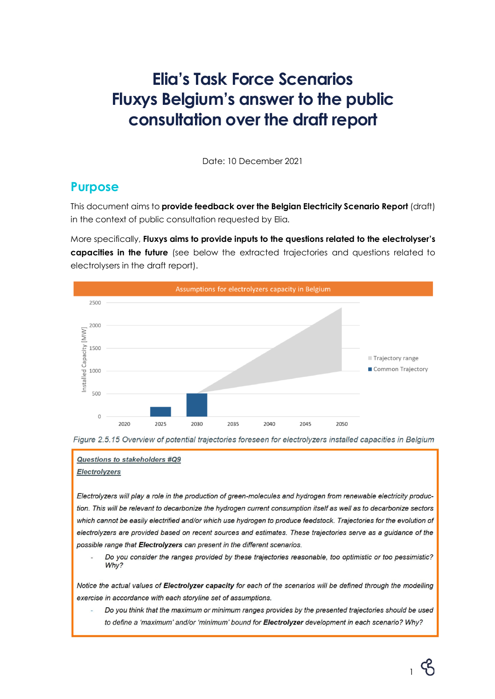# **Elia's Task Force Scenarios Fluxys Belgium's answer to the public consultation over the draft report**

Date: 10 December 2021

### **Purpose**

This document aims to **provide feedback over the Belgian Electricity Scenario Report** (draft) in the context of public consultation requested by Elia.

More specifically, **Fluxys aims to provide inputs to the questions related to the electrolyser's capacities in the future** (see below the extracted trajectories and questions related to electrolysers in the draft report).





#### Questions to stakeholders #Q9 Electrolyzers

Electrolyzers will play a role in the production of green-molecules and hydrogen from renewable electricity production. This will be relevant to decarbonize the hydrogen current consumption itself as well as to decarbonize sectors which cannot be easily electrified and/or which use hydrogen to produce feedstock. Trajectories for the evolution of electrolyzers are provided based on recent sources and estimates. These trajectories serve as a guidance of the possible range that Electrolyzers can present in the different scenarios.

Do you consider the ranges provided by these trajectories reasonable, too optimistic or too pessimistic? Why?

Notice the actual values of Electrolyzer capacity for each of the scenarios will be defined through the modelling exercise in accordance with each storyline set of assumptions.

Do you think that the maximum or minimum ranges provides by the presented trajectories should be used to define a 'maximum' and/or 'minimum' bound for Electrolyzer development in each scenario? Why?

1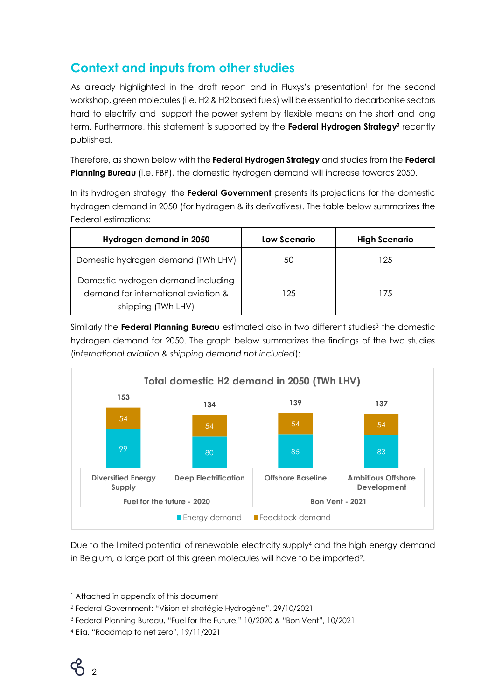## **Context and inputs from other studies**

As already highlighted in the draft report and in Fluxys's presentation<sup>1</sup> for the second workshop, green molecules (i.e. H2 & H2 based fuels) will be essential to decarbonise sectors hard to electrify and support the power system by flexible means on the short and long term. Furthermore, this statement is supported by the **Federal Hydrogen Strategy<sup>2</sup>** recently published.

Therefore, as shown below with the **Federal Hydrogen Strategy** and studies from the **Federal Planning Bureau** (i.e. FBP), the domestic hydrogen demand will increase towards 2050.

In its hydrogen strategy, the **Federal Government** presents its projections for the domestic hydrogen demand in 2050 (for hydrogen & its derivatives). The table below summarizes the Federal estimations:

| Hydrogen demand in 2050                                                                         | Low Scenario | <b>High Scenario</b> |
|-------------------------------------------------------------------------------------------------|--------------|----------------------|
| Domestic hydrogen demand (TWh LHV)                                                              | 50           | 125                  |
| Domestic hydrogen demand including<br>demand for international aviation &<br>shipping (TWh LHV) | 125          | 175                  |

Similarly the **Federal Planning Bureau** estimated also in two different studies<sup>3</sup> the domestic hydrogen demand for 2050. The graph below summarizes the findings of the two studies (*international aviation & shipping demand not included*):



Due to the limited potential of renewable electricity supply<sup>4</sup> and the high energy demand in Belgium, a large part of this green molecules will have to be imported2.

<sup>&</sup>lt;sup>1</sup> Attached in appendix of this document

<sup>2</sup> Federal Government: "Vision et stratégie Hydrogène", 29/10/2021

<sup>3</sup> Federal Planning Bureau, "Fuel for the Future," 10/2020 & "Bon Vent", 10/2021

<sup>4</sup> Elia, "Roadmap to net zero", 19/11/2021